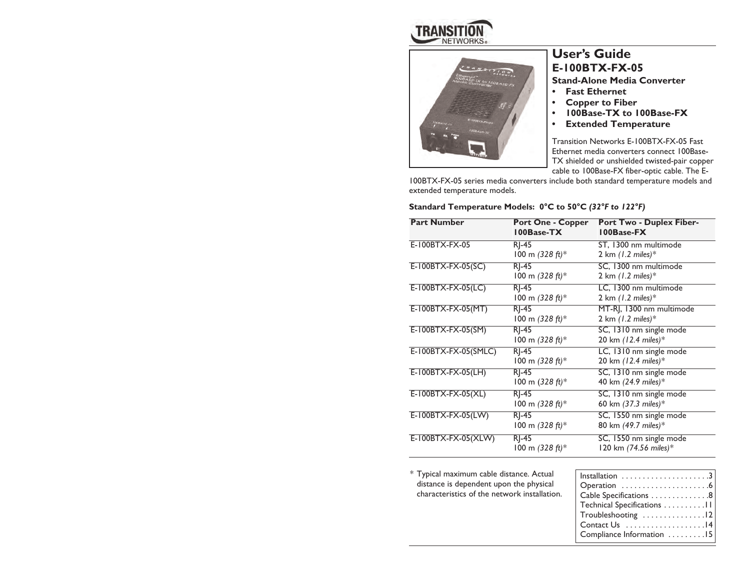



# **User's Guide E-100BTX-FX-05**

**Stand-Alone Media Converter**

- *•***Fast Ethernet**
- **• Copper to Fiber**
- **• 100Base-TX to 100Base-FX**
- **• Extended Temperature**

Transition Networks E-100BTX-FX-05 Fast Ethernet media converters connect 100Base-TX shielded or unshielded twisted-pair copper cable to 100Base-FX fiber-optic cable. The E-

100BTX-FX-05 series media converters include both standard temperature models and extended temperature models.

### **Standard Temperature Models: 0°C to 50°C** *(32°F to 122°F)*

| <b>Part Number</b>   | <b>Port One - Copper</b><br>100Base-TX | <b>Port Two - Duplex Fiber-</b><br>100Base-FX |
|----------------------|----------------------------------------|-----------------------------------------------|
| E-100BTX-FX-05       | $R$ -45                                | ST, 1300 nm multimode                         |
|                      | 100 m $(328 ft)*$                      | 2 km $(1.2 \text{ miles})$ *                  |
| E-100BTX-FX-05(SC)   | $R$ -45                                | SC, 1300 nm multimode                         |
|                      | 100 m $(328 ft)*$                      | 2 km $(1.2 \text{ miles})$ *                  |
| E-100BTX-FX-05(LC)   | $R$ -45                                | LC, 1300 nm multimode                         |
|                      | 100 m $(328 ft)*$                      | 2 km $(1.2 \text{ miles})$ *                  |
| E-100BTX-FX-05(MT)   | $RI-45$                                | MT-RJ, 1300 nm multimode                      |
|                      | 100 m $(328 ft)^*$                     | 2 km $(1.2 \text{ miles})$ *                  |
| E-100BTX-FX-05(SM)   | $RI-45$                                | SC, 1310 nm single mode                       |
|                      | 100 m $(328 ft)*$                      | 20 km (12.4 miles)*                           |
| E-100BTX-FX-05(SMLC) | $RI-45$                                | LC, 1310 nm single mode                       |
|                      | 100 m $(328 ft)*$                      | 20 km $(12.4 \text{ miles})$ <sup>*</sup>     |
| $E-100BTX-FX-05(LH)$ | $R$ -45                                | SC, 1310 nm single mode                       |
|                      | 100 m $(328 ft)*$                      | 40 km (24.9 miles)*                           |
| $E-100BTX-FX-05(XL)$ | RI-45                                  | SC, 1310 nm single mode                       |
|                      | 100 m $(328 ft)*$                      | 60 km (37.3 miles)*                           |
| E-100BTX-FX-05(LW)   | $RI-45$                                | SC, 1550 nm single mode                       |
|                      | 100 m $(328 ft)*$                      | 80 km (49.7 miles)*                           |
| E-100BTX-FX-05(XLW)  | RI-45                                  | SC, 1550 nm single mode                       |
|                      | 100 m $(328 ft)*$                      | 120 km (74.56 miles)*                         |

\* Typical maximum cable distance. Actual distance is dependent upon the physical characteristics of the network installation.

| Cable Specifications 8                                    |
|-----------------------------------------------------------|
| Technical Specifications 11                               |
| $Troubles hooting \dots \dots \dots \dots \dots \dots 12$ |
| Contact Us 14                                             |
| Compliance Information 15                                 |
|                                                           |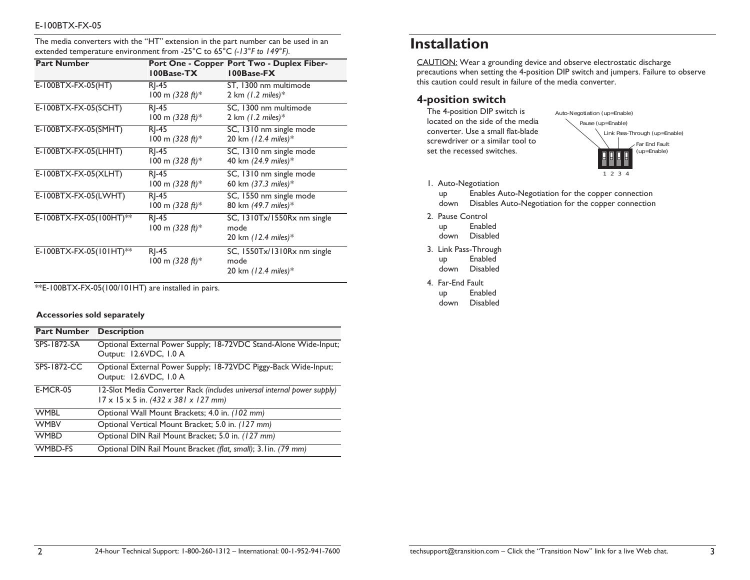The media converters with the "HT" extension in the part number can be used in an extended temperature environment from -25°C to 65°C *(-13°F to 149°F).*

| <b>Part Number</b>      | 100Base-TX                    | Port One - Copper Port Two - Duplex Fiber-<br>100Base-FX                         |
|-------------------------|-------------------------------|----------------------------------------------------------------------------------|
| E-100BTX-FX-05(HT)      | $R$ ]-45<br>100 m $(328 ft)*$ | ST, 1300 nm multimode<br>2 km $(1.2 \text{ miles})$ *                            |
| E-100BTX-FX-05(SCHT)    | RI-45<br>100 m $(328 ft)*$    | SC, 1300 nm multimode<br>2 km $(1.2 \text{ miles})$ *                            |
| E-100BTX-FX-05(SMHT)    | $RI-45$<br>100 m $(328 ft)*$  | SC, 1310 nm single mode<br>20 km (12.4 miles)*                                   |
| E-100BTX-FX-05(LHHT)    | $R$ ]-45<br>100 m $(328 ft)*$ | SC, 1310 nm single mode<br>40 km (24.9 miles)*                                   |
| E-100BTX-FX-05(XLHT)    | RI-45<br>100 m $(328 ft)*$    | SC, 1310 nm single mode<br>60 km (37.3 miles)*                                   |
| E-100BTX-FX-05(LWHT)    | $RI-45$<br>100 m $(328 ft)*$  | SC, 1550 nm single mode<br>80 km (49.7 miles)*                                   |
| E-100BTX-FX-05(100HT)** | RI-45<br>100 m $(328 ft)*$    | SC, 1310Tx/1550Rx nm single<br>mode<br>20 km $(12.4 \text{ miles})$ <sup>*</sup> |
| E-100BTX-FX-05(101HT)** | RI-45<br>100 m $(328 ft)*$    | SC, 1550Tx/1310Rx nm single<br>mode<br>20 km $(12.4 \text{ miles})$ <sup>*</sup> |

\*\*E-100BTX-FX-05(100/101HT) are installed in pairs.

### **Accessories sold separately**

| <b>Part Number</b> | <b>Description</b>                                                                                                          |
|--------------------|-----------------------------------------------------------------------------------------------------------------------------|
| SPS-1872-SA        | Optional External Power Supply; 18-72VDC Stand-Alone Wide-Input;<br>Output: 12.6VDC, I.0 A                                  |
| <b>SPS-1872-CC</b> | Optional External Power Supply; 18-72VDC Piggy-Back Wide-Input;<br>Output: 12.6VDC, I.0 A                                   |
| <b>E-MCR-05</b>    | 12-Slot Media Converter Rack (includes universal internal power supply)<br>$17 \times 15 \times 5$ in. (432 x 381 x 127 mm) |
| <b>WMBL</b>        | Optional Wall Mount Brackets; 4.0 in. (102 mm)                                                                              |
| <b>WMBV</b>        | Optional Vertical Mount Bracket; 5.0 in. (127 mm)                                                                           |
| <b>WMBD</b>        | Optional DIN Rail Mount Bracket; 5.0 in. (127 mm)                                                                           |
| <b>WMBD-FS</b>     | Optional DIN Rail Mount Bracket (flat, small); 3.1in. (79 mm)                                                               |

# **Installation**

CAUTION: Wear a grounding device and observe electrostatic discharge precautions when setting the 4-position DIP switch and jumpers. Failure to observe this caution could result in failure of the media converter.

### **4-position switch**

The 4-position DIP switch is located on the side of the media converter. Use a small flat-blade screwdriver or a similar tool to set the recessed switches.



1. Auto-Negotiation

up Enables Auto-Negotiation for the copper connection down Disables Auto-Negotiation for the copper connection

2. Pause Control

up Enabled down Disabled

- 
- 3. Link Pass-Through up Enabled down Disabled
- 4. Far-End Fault
- up Enabled down Disabled

24-hour Technical Support: 1-800-260-1312 – International: 00-1-952-941-7600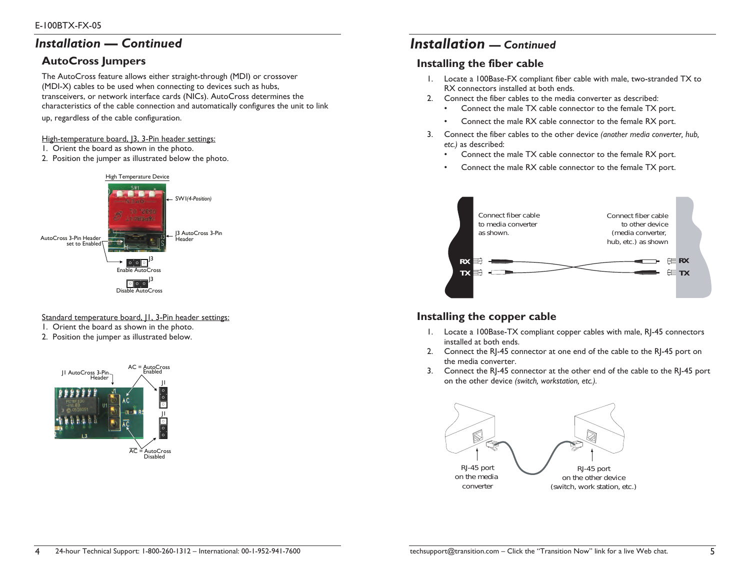## *Installation — Continued*

## **AutoCross Jumpers**

The AutoCross feature allows either straight-through (MDI) or crossover (MDI-X) cables to be used when connecting to devices such as hubs, transceivers, or network interface cards (NICs). AutoCross determines the characteristics of the cable connection and automatically configures the unit to link

up, regardless of the cable configuration.

#### High-temperature board, [3, 3-Pin header settings:

- 1. Orient the board as shown in the photo.
- 2. Position the jumper as illustrated below the photo.



### Standard temperature board, II, 3-Pin header settings:

- 1. Orient the board as shown in the photo.
- 2. Position the jumper as illustrated below.



# *Installation — Continued*

## **Installing the fiber cable**

- 1. Locate a 100Base-FX compliant fiber cable with male, two-stranded TX to RX connectors installed at both ends.
- 2. Connect the fiber cables to the media converter as described:
	- •Connect the male TX cable connector to the female TX port.
	- •Connect the male RX cable connector to the female RX port.
- 3. Connect the fiber cables to the other device *(another media converter, hub, etc.)* as described:
	- •Connect the male TX cable connector to the female RX port.
	- •Connect the male RX cable connector to the female TX port.



### **Installing the copper cable**

- 1. Locate a 100Base-TX compliant copper cables with male, RJ-45 connectors installed at both ends.
- 2. Connect the RJ-45 connector at one end of the cable to the RJ-45 port on the media converter.
- 3. Connect the RJ-45 connector at the other end of the cable to the RJ-45 port on the other device *(switch, workstation, etc.).*

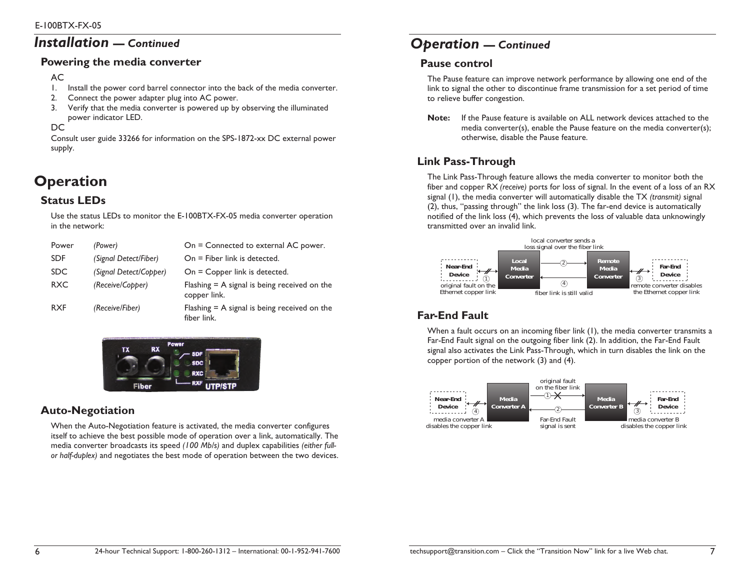# *Installation — Continued*

### **Powering the media converter**

### AC

- 1. Install the power cord barrel connector into the back of the media converter.
- 2. Connect the power adapter plug into AC power.
- 3. Verify that the media converter is powered up by observing the illuminated power indicator LED.

DC

Consult user guide 33266 for information on the SPS-1872-xx DC external power supply.

# **Operation**

## **Status LEDs**

Use the status LEDs to monitor the E-100BTX-FX-05 media converter operation in the network:

| Power      | (Power)                | On = Connected to external AC power.                           |
|------------|------------------------|----------------------------------------------------------------|
| <b>SDF</b> | (Signal Detect/Fiber)  | $On = Fiber link$ is detected.                                 |
| <b>SDC</b> | (Signal Detect/Copper) | On = Copper link is detected.                                  |
| <b>RXC</b> | (Receive/Copper)       | Flashing $=$ A signal is being received on the<br>copper link. |
| <b>RXF</b> | (Receive/Fiber)        | Flashing $=$ A signal is being received on the<br>fiber link.  |



## **Auto-Negotiation**

When the Auto-Negotiation feature is activated, the media converter configures itself to achieve the best possible mode of operation over a link, automatically. The media converter broadcasts its speed *(100 Mb/s)* and duplex capabilities *(either fullor half-duplex)* and negotiates the best mode of operation between the two devices.

# *Operation — Continued*

## **Pause control**

The Pause feature can improve network performance by allowing one end of the link to signal the other to discontinue frame transmission for a set period of time to relieve buffer congestion.

**Note:** If the Pause feature is available on ALL network devices attached to the media converter(s), enable the Pause feature on the media converter(s); otherwise, disable the Pause feature.

## **Link Pass-Through**

The Link Pass-Through feature allows the media converter to monitor both the fiber and copper RX *(receive)* ports for loss of signal. In the event of a loss of an RX signal (1), the media converter will automatically disable the TX *(transmit)* signal (2), thus, "passing through" the link loss (3). The far-end device is automatically notified of the link loss (4), which prevents the loss of valuable data unknowingly transmitted over an invalid link.



# **Far-End Fault**

When a fault occurs on an incoming fiber link (1), the media converter transmits a Far-End Fault signal on the outgoing fiber link (2). In addition, the Far-End Fault signal also activates the Link Pass-Through, which in turn disables the link on the copper portion of the network (3) and (4).

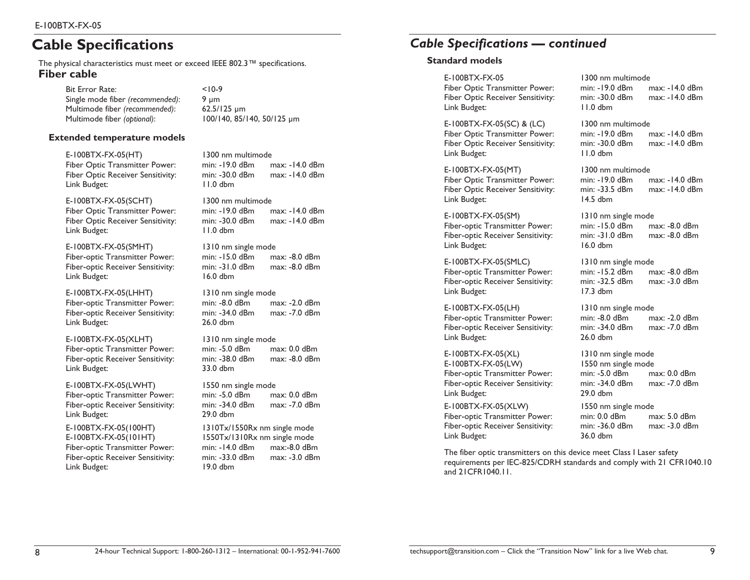# **Cable Specifications**

The physical characteristics must meet or exceed IEEE 802.3™ specifications. **Fiber cable** 

> Bit Error Rate: <10-9 Single mode fiber *(recommended)*: 9 µm Multimode fiber *(recommended)*: 62.5/125 µm Multimode fiber *(optional)*: 100/140, 85/140, 50/125 µm

### **Extended temperature models**

E-100BTX-FX-05(HT) 1300 nm multimode Link Budget: 11.0 dbm

E-100BTX-FX-05(SCHT) 1300 nm multimode Fiber Optic Transmitter Power: min: -19.0 dBm max: -14.0 dBm Fiber Optic Receiver Sensitivity: min: -30.0 dBm max: -14.0 dBm Link Budget: 11.0 dbm

E-100BTX-FX-05(SMHT) 1310 nm single mode Link Budget: 16.0 dbm

E-100BTX-FX-05(LHHT) 1310 nm single mode Fiber-optic Receiver Sensitivity: min: -34.0 dBm Link Budget: 26.0 dbm

E-100BTX-FX-05(XLHT) 1310 nm single mode Fiber-optic Receiver Sensitivity: Link Budget: 33.0 dbm

E-100BTX-FX-05(LWHT) 1550 nm single mode<br>
Fiber-optic Transmitter Power: min: -5.0 dBm max: 0.0 dBm Fiber-optic Transmitter Power: Link Budget: 29.0 dbm

E-100BTX-FX-05(100HT) 1310Tx/1550Rx nm single mode Link Budget: 19.0 dbm

Fiber Optic Transmitter Power: min: -19.0 dBm max: -14.0 dBm Fiber Optic Receiver Sensitivity: min: -30.0 dBm max: -14.0 dBm

Fiber-optic Transmitter Power: min: -15.0 dBm max: -8.0 dBm Fiber-optic Receiver Sensitivity: min: -31.0 dBm max: -8.0 dBm

Fiber-optic Transmitter Power: min: -8.0 dBm max: -2.0 dBm

Fiber-optic Transmitter Power: min: -5.0 dBm max: 0.0 dBm

Fiber-optic Receiver Sensitivity: min: -34.0 dBm max: -7.0 dBm

E-100BTX-FX-05(101HT) 1550Tx/1310Rx nm single mode Fiber-optic Transmitter Power: min: -14.0 dBm max:-8.0 dBm Fiber-optic Receiver Sensitivity: min: -33.0 dBm max: -3.0 dBm

## *Cable Specifications — continued*

### **Standard models**

E-100BTX-FX-05 1300 nm multimode Fiber Optic Receiver Sensitivity: Link Budget: 11.0 dbm

Fiber Optic Transmitter Power: min: -19.0 dBm Link Budget: 11.0 dbm

E-100BTX-FX-05(MT) 1300 nm multimode Link Budget: 14.5 dbm

E-100BTX-FX-05(SM) 1310 nm single mode Link Budget: 16.0 dbm

E-100BTX-FX-05(SMLC) 1310 nm single mode Link Budget: 17.3 dbm

E-100BTX-FX-05(LH) 1310 nm single mode Link Budget: 26.0 dbm

E-100BTX-FX-05(XL) 1310 nm single mode E-100BTX-FX-05(LW) 1550 nm single mode Link Budget: 29.0 dbm

E-100BTX-FX-05(XLW) 1550 nm single mode Link Budget: 36.0 dbm

The fiber optic transmitters on this device meet Class I Laser safety requirements per IEC-825/CDRH standards and comply with 21 CFR1040.10 and 21CFR1040.11.

Fiber Optic Transmitter Power: min: -19.0 dBm max: -14.0 dBm

E-100BTX-FX-05(SC) & (LC) lateral multimode<br>Fiber Optic Transmitter Power: min: -19.0 dBm max: -14.0 dBm Fiber Optic Receiver Sensitivity: min: -30.0 dBm max: -14.0 dBm

Fiber Optic Transmitter Power: min: -19.0 dBm max: -14.0 dBm Fiber Optic Receiver Sensitivity: min: -33.5 dBm max: -14.0 dBm

Fiber-optic Transmitter Power: min: -15.0 dBm max: -8.0 dBm Fiber-optic Receiver Sensitivity: min: -31.0 dBm max: -8.0 dBm

Fiber-optic Transmitter Power: min: -15.2 dBm max: -8.0 dBm Fiber-optic Receiver Sensitivity: min: -32.5 dBm max: -3.0 dBm

Fiber-optic Transmitter Power: min: -8.0 dBm max: -2.0 dBm Fiber-optic Receiver Sensitivity: min: -34.0 dBm max: -7.0 dBm

Fiber-optic Transmitter Power: min: -5.0 dBm max: 0.0 dBm Fiber-optic Receiver Sensitivity: min: -34.0 dBm max: -7.0 dBm

Fiber-optic Transmitter Power: min: 0.0 dBm max: 5.0 dBm Fiber-optic Receiver Sensitivity: min: -36.0 dBm max: -3.0 dBm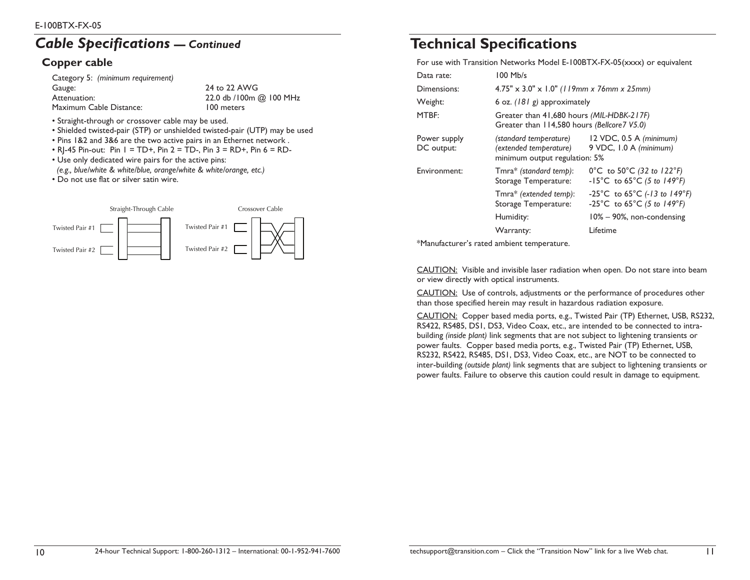# *Cable Specifications — Continued*

## **Copper cable**

| 24 to 22 AWG             |
|--------------------------|
| 22.0 db / 100m @ 100 MHz |
| 100 meters               |
|                          |

- Straight-through or crossover cable may be used.
- Shielded twisted-pair (STP) or unshielded twisted-pair (UTP) may be used
- Pins 1&2 and 3&6 are the two active pairs in an Ethernet network .
- RI-45 Pin-out: Pin  $I = TD +$ , Pin  $2 = TD -$ , Pin  $3 = RD +$ , Pin  $6 = RD -$
- Use only dedicated wire pairs for the active pins:
- *(e.g., blue/white & white/blue, orange/white & white/orange, etc.)*
- Do not use flat or silver satin wire.



# **Technical Specifications**

For use with Transition Networks Model E-100BTX-FX-05(xxxx) or equivalent

| Data rate:                 | 100 Mb/s                                                                                 |                                                                                            |
|----------------------------|------------------------------------------------------------------------------------------|--------------------------------------------------------------------------------------------|
| Dimensions:                | $4.75" \times 3.0" \times 1.0"$ (119mm x 76mm x 25mm)                                    |                                                                                            |
| Weight:                    | 6 oz. (181 g) approximately                                                              |                                                                                            |
| MTBF:                      | Greater than 41,680 hours (MIL-HDBK-217F)<br>Greater than 114,580 hours (Bellcore7 V5.0) |                                                                                            |
| Power supply<br>DC output: | (standard temperature)<br>(extended temperature)<br>minimum output regulation: 5%        | $12$ VDC, 0.5 A (minimum)<br>9 VDC, I.0 A (minimum)                                        |
| Environment:               | Tmra* (standard temp):<br>Storage Temperature:                                           | 0°C to 50°C (32 to $122^{\circ}F$ )<br>-15°C to $65^{\circ}$ C (5 to 149°F)                |
|                            | Tmra* (extended temp):<br>Storage Temperature:                                           | $-25^{\circ}$ C to 65 $^{\circ}$ C (-13 to 149 $^{\circ}$ F)<br>-25°C to 65°C (5 to 149°F) |
|                            | Humidity:                                                                                | $10\% - 90\%$ , non-condensing                                                             |
|                            | Warranty:                                                                                | Lifetime                                                                                   |
|                            |                                                                                          |                                                                                            |

\*Manufacturer's rated ambient temperature.

CAUTION: Visible and invisible laser radiation when open. Do not stare into beam or view directly with optical instruments.

CAUTION: Use of controls, adjustments or the performance of procedures other than those specified herein may result in hazardous radiation exposure.

CAUTION: Copper based media ports, e.g., Twisted Pair (TP) Ethernet, USB, RS232, RS422, RS485, DS1, DS3, Video Coax, etc., are intended to be connected to intrabuilding *(inside plant)* link segments that are not subject to lightening transients or power faults. Copper based media ports, e.g., Twisted Pair (TP) Ethernet, USB, RS232, RS422, RS485, DS1, DS3, Video Coax, etc., are NOT to be connected to inter-building *(outside plant)* link segments that are subject to lightening transients or power faults. Failure to observe this caution could result in damage to equipment.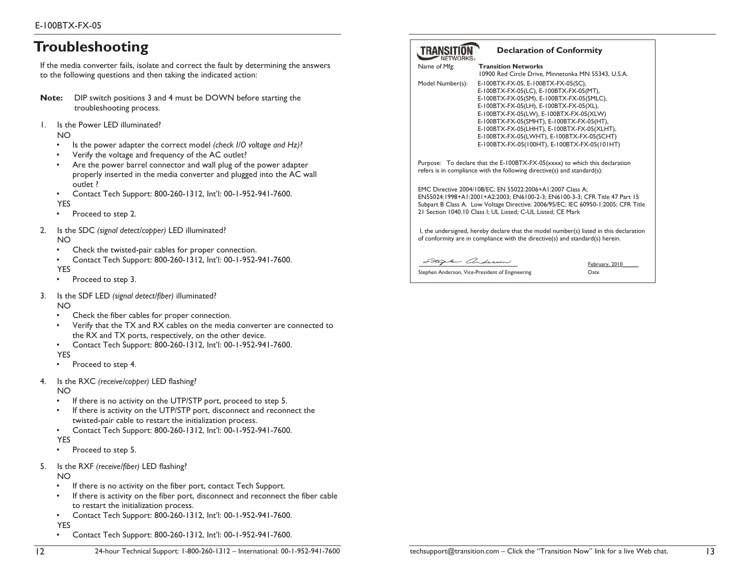# **Troubleshooting**

If the media converter fails, isolate and correct the fault by determining the answers to the following questions and then taking the indicated action:

- **Note:** DIP switch positions 3 and 4 must be DOWN before starting the troubleshooting process.
- 1. Is the Power LED illuminated?

NO

- •Is the power adapter the correct model *(check I/O voltage and Hz)*?
- •Verify the voltage and frequency of the AC outlet?
- • Are the power barrel connector and wall plug of the power adapter properly inserted in the media converter and plugged into the AC wall outlet ?
- •Contact Tech Support: 800-260-1312, Int'l: 00-1-952-941-7600.

YES

- •Proceed to step 2.
- 2. Is the SDC *(signal detect/copper)* LED illuminated? NO
	- •Check the twisted-pair cables for proper connection.
	- • Contact Tech Support: 800-260-1312, Int'l: 00-1-952-941-7600. YES
	- •Proceed to step 3.
- 3. Is the SDF LED *(signal detect/fiber)* illuminated?

NO

- •Check the fiber cables for proper connection.
- • Verify that the TX and RX cables on the media converter are connected to the RX and TX ports, respectively, on the other device.
- •Contact Tech Support: 800-260-1312, Int'l: 00-1-952-941-7600.

YES

- •Proceed to step 4.
- 4. Is the RXC *(receive/copper)* LED flashing?

NO

- •If there is no activity on the UTP/STP port, proceed to step 5.
- • If there is activity on the UTP/STP port, disconnect and reconnect the twisted-pair cable to restart the initialization process.
- •Contact Tech Support: 800-260-1312, Int'l: 00-1-952-941-7600.

YES

- •Proceed to step 5.
- 5. Is the RXF *(receive/fiber)* LED flashing?

NO

- •If there is no activity on the fiber port, contact Tech Support.
- • If there is activity on the fiber port, disconnect and reconnect the fiber cable to restart the initialization process.
- •Contact Tech Support: 800-260-1312, Int'l: 00-1-952-941-7600.

YES •

12

Contact Tech Support: 800-260-1312, Int'l: 00-1-952-941-7600.

| TRANSITION |  |
|------------|--|
|            |  |
| NETWORKS   |  |

### **Declaration of Conformity**

| Name of Mfg:     | <b>Transition Networks</b>                                                                                                                                                                                                                                                                                                                                                                                  |
|------------------|-------------------------------------------------------------------------------------------------------------------------------------------------------------------------------------------------------------------------------------------------------------------------------------------------------------------------------------------------------------------------------------------------------------|
|                  | 10900 Red Circle Drive, Minnetonka MN 55343, U.S.A.                                                                                                                                                                                                                                                                                                                                                         |
| Model Number(s): | E-100BTX-FX-05, E-100BTX-FX-05(SC),<br>E-100BTX-FX-05(LC), E-100BTX-FX-05(MT),<br>E-100BTX-FX-05(SM), E-100BTX-FX-05(SMLC),<br>E-100BTX-FX-05(LH), E-100BTX-FX-05(XL),<br>E-100BTX-FX-05(LW), E-100BTX-FX-05(XLW)<br>E-100BTX-FX-05(SMHT), E-100BTX-FX-05(HT),<br>E-100BTX-FX-05(LHHT), E-100BTX-FX-05(XLHT),<br>E-100BTX-FX-05(LWHT), E-100BTX-FX-05(SCHT)<br>E-100BTX-FX-05(100HT), E-100BTX-FX-05(101HT) |
|                  | Purpose: To declare that the E-100BTX-FX-05(xxxx) to which this declaration<br>refers is in compliance with the following directive(s) and standard(s):                                                                                                                                                                                                                                                     |
|                  | EMC Directive 2004/108/EC; EN 55022:2006+A1:2007 Class A;<br>EN55024:1998+A1:2001+A2:2003; EN6100-2-3; EN6100-3-3; CFR Title 47 Part 15<br>Subpart B Class A. Low Voltage Directive: 2006/95/EC; IEC 60950-1:2005; CFR Title<br>21 Section 1040.10 Class I; UL Listed; C-UL Listed; CE Mark                                                                                                                 |
|                  | I, the undersigned, hereby declare that the model number(s) listed in this declaration<br>of conformity are in compliance with the directive(s) and standard(s) herein.                                                                                                                                                                                                                                     |
|                  |                                                                                                                                                                                                                                                                                                                                                                                                             |

Stephen anderson

Stephen Anderson, Vice-President of Engineering Theorem 2016

February, 2010\_\_\_\_\_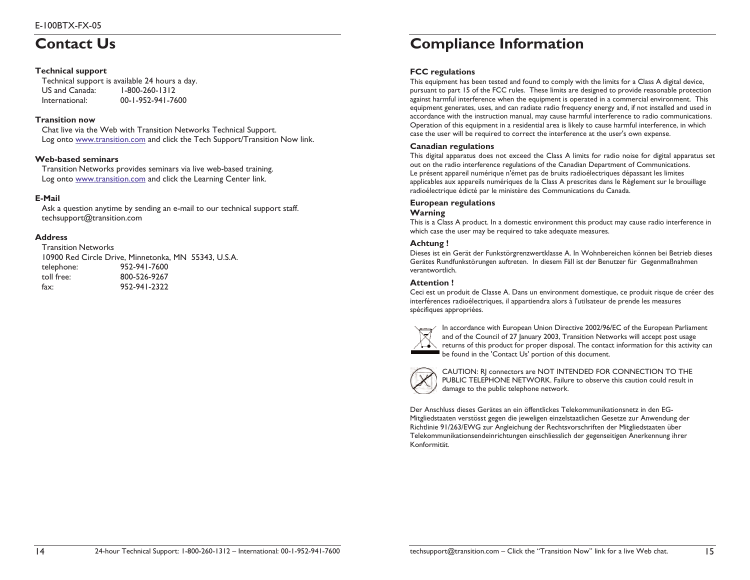# **Contact Us**

### **Technical support**

|                | Technical support is available 24 hours a day. |
|----------------|------------------------------------------------|
| US and Canada: | $1 - 800 - 260 - 1312$                         |
| International: | 00-1-952-941-7600                              |

### **Transition now**

Chat live via the Web with Transition Networks Technical Support. Log onto www.transition.com and click the Tech Support/Transition Now link.

### **Web-based seminars**

Transition Networks provides seminars via live web-based training. Log onto www.transition.com and click the Learning Center link.

### **E-Mail**

Ask a question anytime by sending an e-mail to our technical support staff. techsupport@transition.com

### **Address**

14

Transition Networks 10900 Red Circle Drive, Minnetonka, MN 55343, U.S.A. telephone: 952-941-7600 toll free: 800-526-9267 fax: 952-941-2322

# **Compliance Information**

### **FCC regulations**

This equipment has been tested and found to comply with the limits for a Class A digital device, pursuant to part 15 of the FCC rules. These limits are designed to provide reasonable protection against harmful interference when the equipment is operated in a commercial environment. This equipment generates, uses, and can radiate radio frequency energy and, if not installed and used in accordance with the instruction manual, may cause harmful interference to radio communications. Operation of this equipment in a residential area is likely to cause harmful interference, in which case the user will be required to correct the interference at the user's own expense.

### **Canadian regulations**

This digital apparatus does not exceed the Class A limits for radio noise for digital apparatus set out on the radio interference regulations of the Canadian Department of Communications. Le présent appareil numérique n'émet pas de bruits radioélectriques dépassant les limites applicables aux appareils numériques de la Class A prescrites dans le Règlement sur le brouillage radioélectrique édicté par le ministère des Communications du Canada.

#### **European regulations**

#### **Warning**

This is a Class A product. In a domestic environment this product may cause radio interference in which case the user may be required to take adequate measures.

#### **Achtung !**

Dieses ist ein Gerät der Funkstörgrenzwertklasse A. In Wohnbereichen können bei Betrieb dieses Gerätes Rundfunkstörungen auftreten. In diesem Fäll ist der Benutzer für Gegenmaßnahmen verantwortlich.

#### **Attention !**

Ceci est un produit de Classe A. Dans un environment domestique, ce produit risque de créer des interférences radioélectriques, il appartiendra alors à l'utilsateur de prende les measures spécifiques appropriées.



In accordance with European Union Directive 2002/96/EC of the European Parliament and of the Council of 27 January 2003, Transition Networks will accept post usage returns of this product for proper disposal. The contact information for this activity can be found in the 'Contact Us' portion of this document.



CAUTION: RJ connectors are NOT INTENDED FOR CONNECTION TO THE PUBLIC TELEPHONE NETWORK. Failure to observe this caution could result in damage to the public telephone network.

Der Anschluss dieses Gerätes an ein öffentlickes Telekommunikationsnetz in den EG-Mitgliedstaaten verstösst gegen die jeweligen einzelstaatlichen Gesetze zur Anwendung der Richtlinie 91/263/EWG zur Angleichung der Rechtsvorschriften der Mitgliedstaaten über Telekommunikationsendeinrichtungen einschliesslich der gegenseitigen Anerkennung ihrer Konformität.